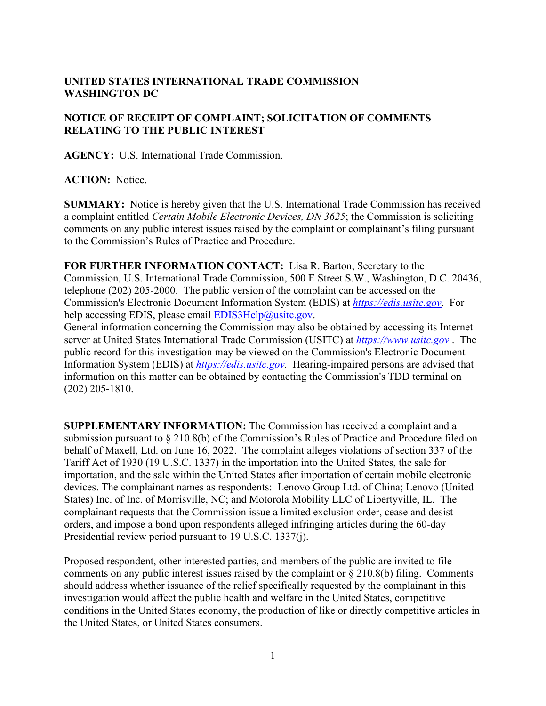## **UNITED STATES INTERNATIONAL TRADE COMMISSION WASHINGTON DC**

## **NOTICE OF RECEIPT OF COMPLAINT; SOLICITATION OF COMMENTS RELATING TO THE PUBLIC INTEREST**

**AGENCY:** U.S. International Trade Commission.

**ACTION:** Notice.

**SUMMARY:** Notice is hereby given that the U.S. International Trade Commission has received a complaint entitled *Certain Mobile Electronic Devices, DN 3625*; the Commission is soliciting comments on any public interest issues raised by the complaint or complainant's filing pursuant to the Commission's Rules of Practice and Procedure.

**FOR FURTHER INFORMATION CONTACT:** Lisa R. Barton, Secretary to the Commission, U.S. International Trade Commission, 500 E Street S.W., Washington, D.C. 20436, telephone (202) 205-2000. The public version of the complaint can be accessed on the Commission's Electronic Document Information System (EDIS) at *[https://edis.usitc.gov](https://edis.usitc.gov/)*. For help accessing EDIS, please email [EDIS3Help@usitc.gov.](mailto:EDIS3Help@usitc.gov)

General information concerning the Commission may also be obtained by accessing its Internet server at United States International Trade Commission (USITC) at *[https://www.usitc.gov](https://www.usitc.gov/)* . The public record for this investigation may be viewed on the Commission's Electronic Document Information System (EDIS) at *[https://edis.usitc.gov.](https://edis.usitc.gov/)* Hearing-impaired persons are advised that information on this matter can be obtained by contacting the Commission's TDD terminal on (202) 205-1810.

**SUPPLEMENTARY INFORMATION:** The Commission has received a complaint and a submission pursuant to § 210.8(b) of the Commission's Rules of Practice and Procedure filed on behalf of Maxell, Ltd. on June 16, 2022. The complaint alleges violations of section 337 of the Tariff Act of 1930 (19 U.S.C. 1337) in the importation into the United States, the sale for importation, and the sale within the United States after importation of certain mobile electronic devices. The complainant names as respondents: Lenovo Group Ltd. of China; Lenovo (United States) Inc. of Inc. of Morrisville, NC; and Motorola Mobility LLC of Libertyville, IL. The complainant requests that the Commission issue a limited exclusion order, cease and desist orders, and impose a bond upon respondents alleged infringing articles during the 60-day Presidential review period pursuant to 19 U.S.C. 1337(j).

Proposed respondent, other interested parties, and members of the public are invited to file comments on any public interest issues raised by the complaint or  $\S 210.8(b)$  filing. Comments should address whether issuance of the relief specifically requested by the complainant in this investigation would affect the public health and welfare in the United States, competitive conditions in the United States economy, the production of like or directly competitive articles in the United States, or United States consumers.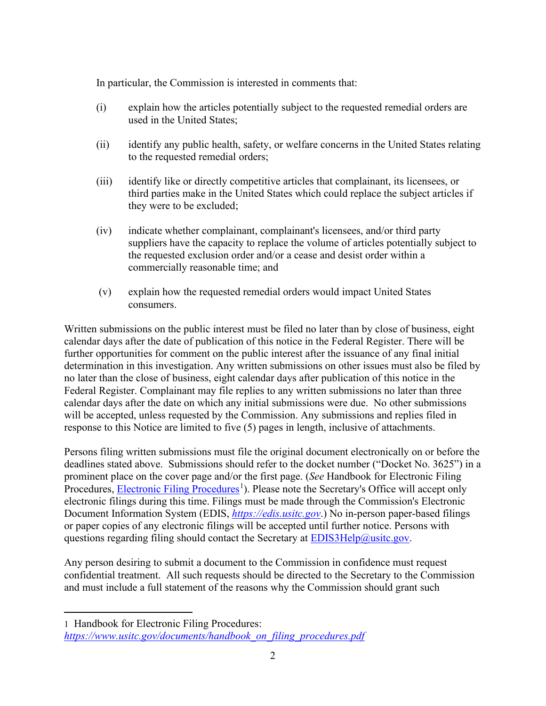In particular, the Commission is interested in comments that:

- (i) explain how the articles potentially subject to the requested remedial orders are used in the United States;
- (ii) identify any public health, safety, or welfare concerns in the United States relating to the requested remedial orders;
- (iii) identify like or directly competitive articles that complainant, its licensees, or third parties make in the United States which could replace the subject articles if they were to be excluded;
- (iv) indicate whether complainant, complainant's licensees, and/or third party suppliers have the capacity to replace the volume of articles potentially subject to the requested exclusion order and/or a cease and desist order within a commercially reasonable time; and
- (v) explain how the requested remedial orders would impact United States consumers.

Written submissions on the public interest must be filed no later than by close of business, eight calendar days after the date of publication of this notice in the Federal Register. There will be further opportunities for comment on the public interest after the issuance of any final initial determination in this investigation. Any written submissions on other issues must also be filed by no later than the close of business, eight calendar days after publication of this notice in the Federal Register. Complainant may file replies to any written submissions no later than three calendar days after the date on which any initial submissions were due. No other submissions will be accepted, unless requested by the Commission. Any submissions and replies filed in response to this Notice are limited to five (5) pages in length, inclusive of attachments.

Persons filing written submissions must file the original document electronically on or before the deadlines stated above. Submissions should refer to the docket number ("Docket No. 3625") in a prominent place on the cover page and/or the first page. (*See* Handbook for Electronic Filing Procedures, **Electronic Filing Procedures**<sup>[1](#page-1-0)</sup>). Please note the Secretary's Office will accept only electronic filings during this time. Filings must be made through the Commission's Electronic Document Information System (EDIS, *[https://edis.usitc.gov](https://edis.usitc.gov/)*.) No in-person paper-based filings or paper copies of any electronic filings will be accepted until further notice. Persons with questions regarding filing should contact the Secretary at **EDIS3Help@usitc.gov**.

Any person desiring to submit a document to the Commission in confidence must request confidential treatment. All such requests should be directed to the Secretary to the Commission and must include a full statement of the reasons why the Commission should grant such

<span id="page-1-0"></span><sup>1</sup> Handbook for Electronic Filing Procedures: *[https://www.usitc.gov/documents/handbook\\_on\\_filing\\_procedures.pdf](https://www.usitc.gov/documents/handbook_on_filing_procedures.pdf)*